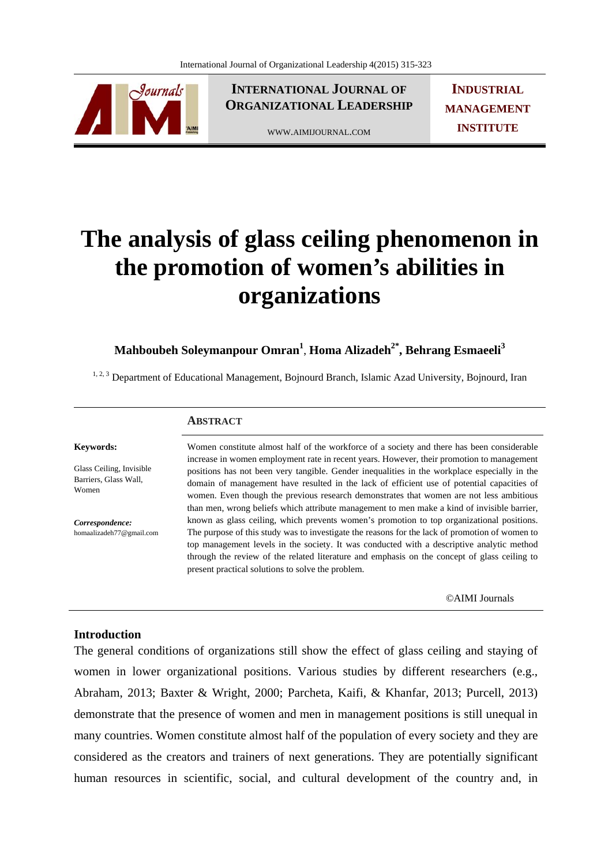

**INTERNATIONAL JOURNAL OF ORGANIZATIONAL LEADERSHIP**

WWW.AIMIJOURNAL.COM

**INDUSTRIAL MANAGEMENT INSTITUTE**

# **The analysis of glass ceiling phenomenon in the promotion of women's abilities in organizations**

**Mahboubeh Soleymanpour Omran<sup>1</sup>** , **Homa Alizadeh2\*, Behrang Esmaeeli3**

<sup>1, 2, 3</sup> Department of Educational Management, Bojnourd Branch, Islamic Azad University, Bojnourd, Iran

#### **ABSTRACT**

**Keywords:** 

Glass Ceiling, Invisible Barriers, Glass Wall, Women

*Correspondence:*  homaalizadeh77@gmail.com

# Women constitute almost half of the workforce of a society and there has been considerable increase in women employment rate in recent years. However, their promotion to management positions has not been very tangible. Gender inequalities in the workplace especially in the domain of management have resulted in the lack of efficient use of potential capacities of women. Even though the previous research demonstrates that women are not less ambitious than men, wrong beliefs which attribute management to men make a kind of invisible barrier, known as glass ceiling, which prevents women's promotion to top organizational positions. The purpose of this study was to investigate the reasons for the lack of promotion of women to top management levels in the society. It was conducted with a descriptive analytic method through the review of the related literature and emphasis on the concept of glass ceiling to

©AIMI Journals

# **Introduction**

The general conditions of organizations still show the effect of glass ceiling and staying of women in lower organizational positions. Various studies by different researchers (e.g., Abraham, 2013; Baxter & Wright, 2000; Parcheta, Kaifi, & Khanfar, 2013; Purcell, 2013) demonstrate that the presence of women and men in management positions is still unequal in many countries. Women constitute almost half of the population of every society and they are considered as the creators and trainers of next generations. They are potentially significant human resources in scientific, social, and cultural development of the country and, in

present practical solutions to solve the problem.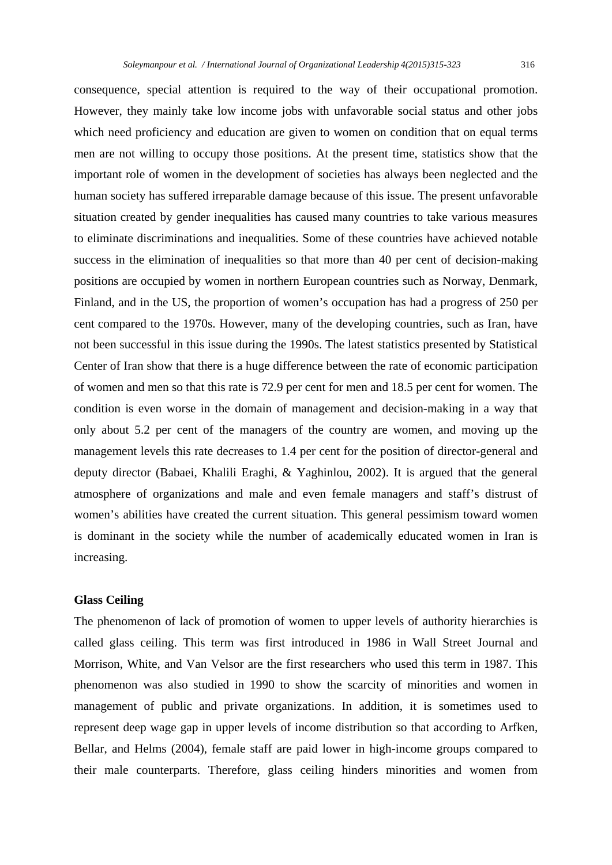However, they mainly take low income jobs with unfavorable social status and other jobs which need proficiency and education are given to women on condition that on equal terms men are not willing to occupy those positions. At the present time, statistics show that the important role of women in the development of societies has always been neglected and the human society has suffered irreparable damage because of this issue. The present unfavorable situation created by gender inequalities has caused many countries to take various measures to eliminate discriminations and inequalities. Some of these countries have achieved notable success in the elimination of inequalities so that more than 40 per cent of decision-making positions are occupied by women in northern European countries such as Norway, Denmark, Finland, and in the US, the proportion of women's occupation has had a progress of 250 per cent compared to the 1970s. However, many of the developing countries, such as Iran, have not been successful in this issue during the 1990s. The latest statistics presented by Statistical Center of Iran show that there is a huge difference between the rate of economic participation of women and men so that this rate is 72.9 per cent for men and 18.5 per cent for women. The condition is even worse in the domain of management and decision-making in a way that only about 5.2 per cent of the managers of the country are women, and moving up the management levels this rate decreases to 1.4 per cent for the position of director-general and deputy director (Babaei, Khalili Eraghi, & Yaghinlou, 2002). It is argued that the general atmosphere of organizations and male and even female managers and staff's distrust of women's abilities have created the current situation. This general pessimism toward women is dominant in the society while the number of academically educated women in Iran is increasing.

# **Glass Ceiling**

The phenomenon of lack of promotion of women to upper levels of authority hierarchies is called glass ceiling. This term was first introduced in 1986 in Wall Street Journal and Morrison, White, and Van Velsor are the first researchers who used this term in 1987. This phenomenon was also studied in 1990 to show the scarcity of minorities and women in management of public and private organizations. In addition, it is sometimes used to represent deep wage gap in upper levels of income distribution so that according to Arfken, Bellar, and Helms (2004), female staff are paid lower in high-income groups compared to their male counterparts. Therefore, glass ceiling hinders minorities and women from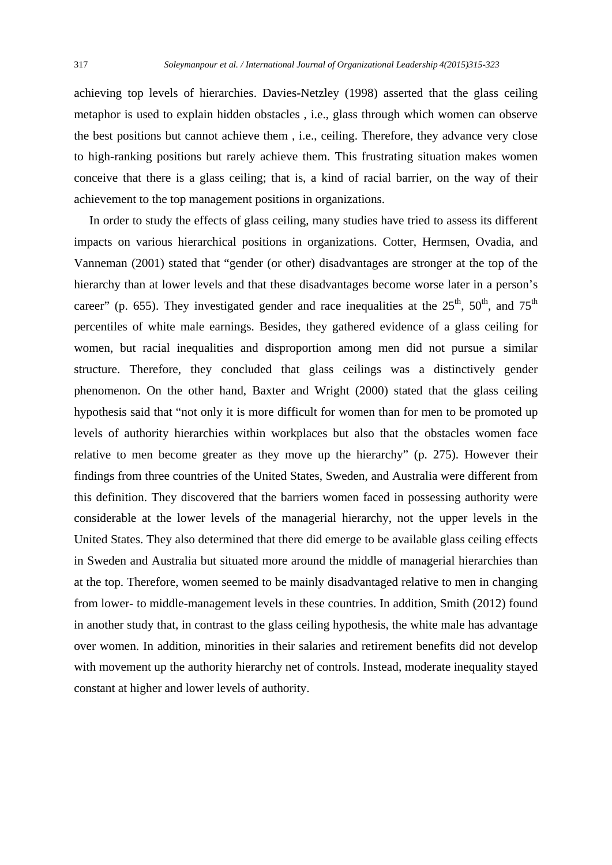achieving top levels of hierarchies. Davies-Netzley (1998) asserted that the glass ceiling metaphor is used to explain hidden obstacles , i.e., glass through which women can observe the best positions but cannot achieve them , i.e., ceiling. Therefore, they advance very close to high-ranking positions but rarely achieve them. This frustrating situation makes women conceive that there is a glass ceiling; that is, a kind of racial barrier, on the way of their achievement to the top management positions in organizations.

 In order to study the effects of glass ceiling, many studies have tried to assess its different impacts on various hierarchical positions in organizations. Cotter, Hermsen, Ovadia, and Vanneman (2001) stated that "gender (or other) disadvantages are stronger at the top of the hierarchy than at lower levels and that these disadvantages become worse later in a person's career" (p. 655). They investigated gender and race inequalities at the  $25<sup>th</sup>$ ,  $50<sup>th</sup>$ , and  $75<sup>th</sup>$ percentiles of white male earnings. Besides, they gathered evidence of a glass ceiling for women, but racial inequalities and disproportion among men did not pursue a similar structure. Therefore, they concluded that glass ceilings was a distinctively gender phenomenon. On the other hand, Baxter and Wright (2000) stated that the glass ceiling hypothesis said that "not only it is more difficult for women than for men to be promoted up levels of authority hierarchies within workplaces but also that the obstacles women face relative to men become greater as they move up the hierarchy" (p. 275). However their findings from three countries of the United States, Sweden, and Australia were different from this definition. They discovered that the barriers women faced in possessing authority were considerable at the lower levels of the managerial hierarchy, not the upper levels in the United States. They also determined that there did emerge to be available glass ceiling effects in Sweden and Australia but situated more around the middle of managerial hierarchies than at the top. Therefore, women seemed to be mainly disadvantaged relative to men in changing from lower- to middle-management levels in these countries. In addition, Smith (2012) found in another study that, in contrast to the glass ceiling hypothesis, the white male has advantage over women. In addition, minorities in their salaries and retirement benefits did not develop with movement up the authority hierarchy net of controls. Instead, moderate inequality stayed constant at higher and lower levels of authority.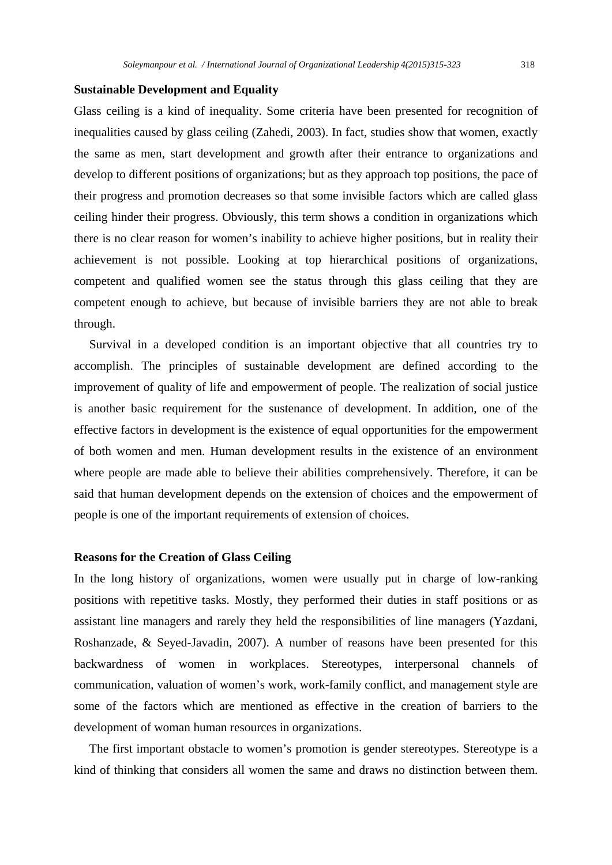#### **Sustainable Development and Equality**

Glass ceiling is a kind of inequality. Some criteria have been presented for recognition of inequalities caused by glass ceiling (Zahedi, 2003). In fact, studies show that women, exactly the same as men, start development and growth after their entrance to organizations and develop to different positions of organizations; but as they approach top positions, the pace of their progress and promotion decreases so that some invisible factors which are called glass ceiling hinder their progress. Obviously, this term shows a condition in organizations which there is no clear reason for women's inability to achieve higher positions, but in reality their achievement is not possible. Looking at top hierarchical positions of organizations, competent and qualified women see the status through this glass ceiling that they are competent enough to achieve, but because of invisible barriers they are not able to break through.

 Survival in a developed condition is an important objective that all countries try to accomplish. The principles of sustainable development are defined according to the improvement of quality of life and empowerment of people. The realization of social justice is another basic requirement for the sustenance of development. In addition, one of the effective factors in development is the existence of equal opportunities for the empowerment of both women and men. Human development results in the existence of an environment where people are made able to believe their abilities comprehensively. Therefore, it can be said that human development depends on the extension of choices and the empowerment of people is one of the important requirements of extension of choices.

#### **Reasons for the Creation of Glass Ceiling**

In the long history of organizations, women were usually put in charge of low-ranking positions with repetitive tasks. Mostly, they performed their duties in staff positions or as assistant line managers and rarely they held the responsibilities of line managers (Yazdani, Roshanzade, & Seyed-Javadin, 2007). A number of reasons have been presented for this backwardness of women in workplaces. Stereotypes, interpersonal channels of communication, valuation of women's work, work-family conflict, and management style are some of the factors which are mentioned as effective in the creation of barriers to the development of woman human resources in organizations.

 The first important obstacle to women's promotion is gender stereotypes. Stereotype is a kind of thinking that considers all women the same and draws no distinction between them.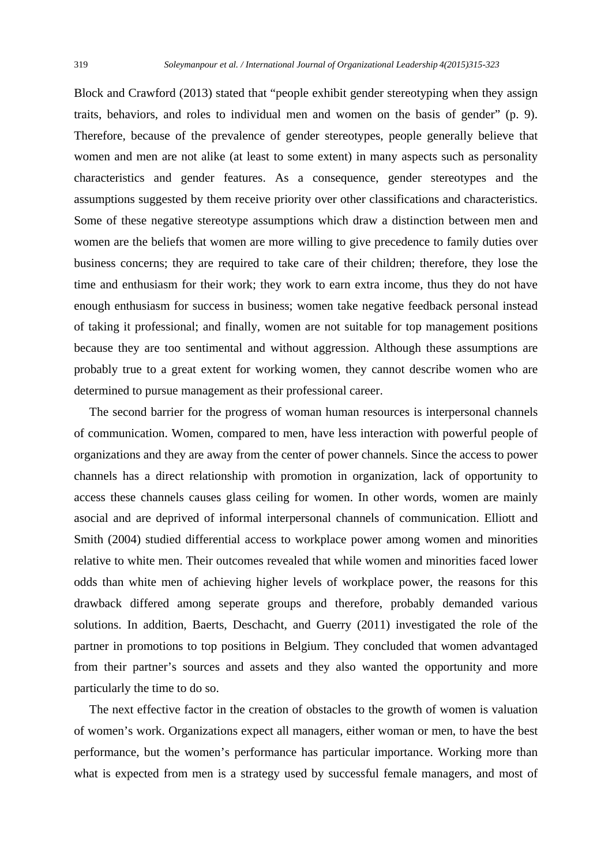Block and Crawford (2013) stated that "people exhibit gender stereotyping when they assign traits, behaviors, and roles to individual men and women on the basis of gender" (p. 9). Therefore, because of the prevalence of gender stereotypes, people generally believe that women and men are not alike (at least to some extent) in many aspects such as personality characteristics and gender features. As a consequence, gender stereotypes and the assumptions suggested by them receive priority over other classifications and characteristics. Some of these negative stereotype assumptions which draw a distinction between men and women are the beliefs that women are more willing to give precedence to family duties over business concerns; they are required to take care of their children; therefore, they lose the time and enthusiasm for their work; they work to earn extra income, thus they do not have enough enthusiasm for success in business; women take negative feedback personal instead of taking it professional; and finally, women are not suitable for top management positions because they are too sentimental and without aggression. Although these assumptions are probably true to a great extent for working women, they cannot describe women who are determined to pursue management as their professional career.

 The second barrier for the progress of woman human resources is interpersonal channels of communication. Women, compared to men, have less interaction with powerful people of organizations and they are away from the center of power channels. Since the access to power channels has a direct relationship with promotion in organization, lack of opportunity to access these channels causes glass ceiling for women. In other words, women are mainly asocial and are deprived of informal interpersonal channels of communication. Elliott and Smith (2004) studied differential access to workplace power among women and minorities relative to white men. Their outcomes revealed that while women and minorities faced lower odds than white men of achieving higher levels of workplace power, the reasons for this drawback differed among seperate groups and therefore, probably demanded various solutions. In addition, Baerts, Deschacht, and Guerry (2011) investigated the role of the partner in promotions to top positions in Belgium. They concluded that women advantaged from their partner's sources and assets and they also wanted the opportunity and more particularly the time to do so.

 The next effective factor in the creation of obstacles to the growth of women is valuation of women's work. Organizations expect all managers, either woman or men, to have the best performance, but the women's performance has particular importance. Working more than what is expected from men is a strategy used by successful female managers, and most of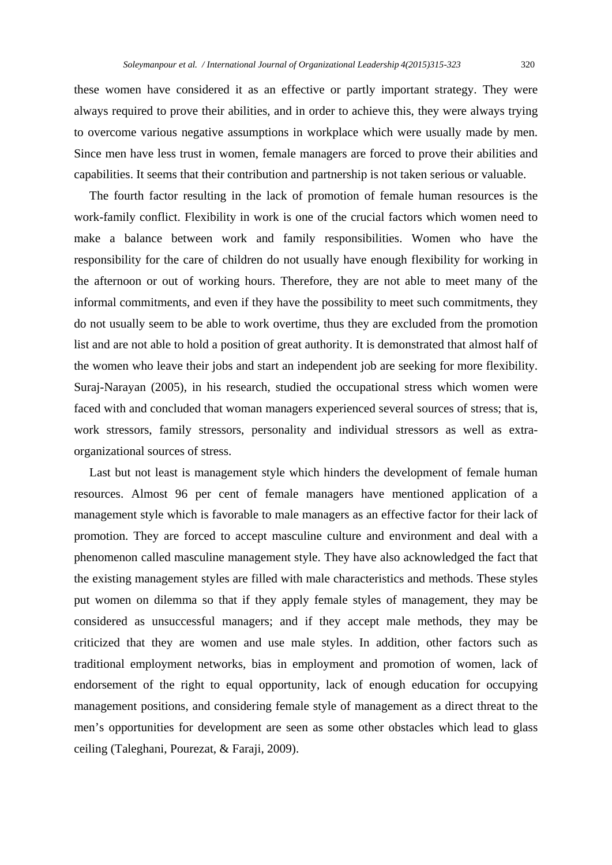these women have considered it as an effective or partly important strategy. They were always required to prove their abilities, and in order to achieve this, they were always trying to overcome various negative assumptions in workplace which were usually made by men. Since men have less trust in women, female managers are forced to prove their abilities and capabilities. It seems that their contribution and partnership is not taken serious or valuable.

 The fourth factor resulting in the lack of promotion of female human resources is the work-family conflict. Flexibility in work is one of the crucial factors which women need to make a balance between work and family responsibilities. Women who have the responsibility for the care of children do not usually have enough flexibility for working in the afternoon or out of working hours. Therefore, they are not able to meet many of the informal commitments, and even if they have the possibility to meet such commitments, they do not usually seem to be able to work overtime, thus they are excluded from the promotion list and are not able to hold a position of great authority. It is demonstrated that almost half of the women who leave their jobs and start an independent job are seeking for more flexibility. Suraj-Narayan (2005), in his research, studied the occupational stress which women were faced with and concluded that woman managers experienced several sources of stress; that is, work stressors, family stressors, personality and individual stressors as well as extraorganizational sources of stress.

 Last but not least is management style which hinders the development of female human resources. Almost 96 per cent of female managers have mentioned application of a management style which is favorable to male managers as an effective factor for their lack of promotion. They are forced to accept masculine culture and environment and deal with a phenomenon called masculine management style. They have also acknowledged the fact that the existing management styles are filled with male characteristics and methods. These styles put women on dilemma so that if they apply female styles of management, they may be considered as unsuccessful managers; and if they accept male methods, they may be criticized that they are women and use male styles. In addition, other factors such as traditional employment networks, bias in employment and promotion of women, lack of endorsement of the right to equal opportunity, lack of enough education for occupying management positions, and considering female style of management as a direct threat to the men's opportunities for development are seen as some other obstacles which lead to glass ceiling (Taleghani, Pourezat, & Faraji, 2009).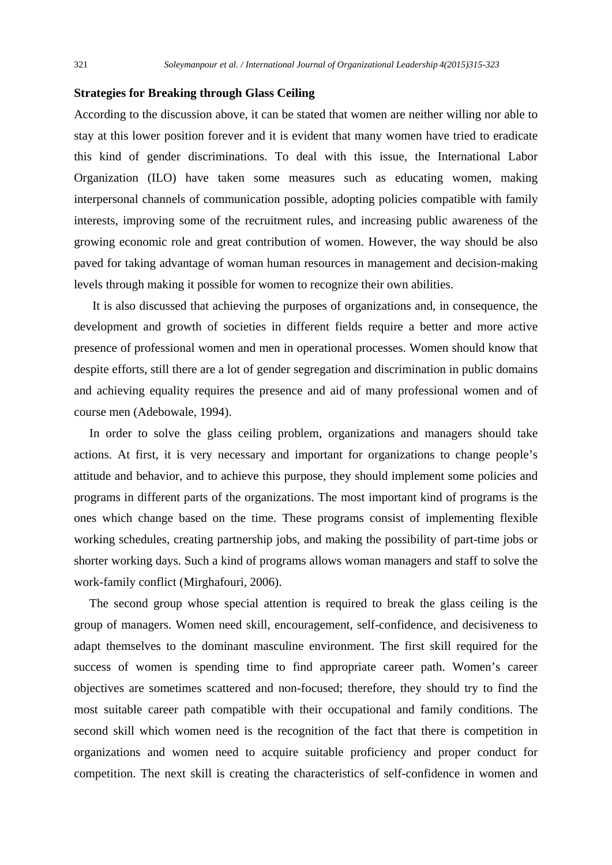#### **Strategies for Breaking through Glass Ceiling**

According to the discussion above, it can be stated that women are neither willing nor able to stay at this lower position forever and it is evident that many women have tried to eradicate this kind of gender discriminations. To deal with this issue, the International Labor Organization (ILO) have taken some measures such as educating women, making interpersonal channels of communication possible, adopting policies compatible with family interests, improving some of the recruitment rules, and increasing public awareness of the growing economic role and great contribution of women. However, the way should be also paved for taking advantage of woman human resources in management and decision-making levels through making it possible for women to recognize their own abilities.

 It is also discussed that achieving the purposes of organizations and, in consequence, the development and growth of societies in different fields require a better and more active presence of professional women and men in operational processes. Women should know that despite efforts, still there are a lot of gender segregation and discrimination in public domains and achieving equality requires the presence and aid of many professional women and of course men (Adebowale, 1994).

 In order to solve the glass ceiling problem, organizations and managers should take actions. At first, it is very necessary and important for organizations to change people's attitude and behavior, and to achieve this purpose, they should implement some policies and programs in different parts of the organizations. The most important kind of programs is the ones which change based on the time. These programs consist of implementing flexible working schedules, creating partnership jobs, and making the possibility of part-time jobs or shorter working days. Such a kind of programs allows woman managers and staff to solve the work-family conflict (Mirghafouri, 2006).

 The second group whose special attention is required to break the glass ceiling is the group of managers. Women need skill, encouragement, self-confidence, and decisiveness to adapt themselves to the dominant masculine environment. The first skill required for the success of women is spending time to find appropriate career path. Women's career objectives are sometimes scattered and non-focused; therefore, they should try to find the most suitable career path compatible with their occupational and family conditions. The second skill which women need is the recognition of the fact that there is competition in organizations and women need to acquire suitable proficiency and proper conduct for competition. The next skill is creating the characteristics of self-confidence in women and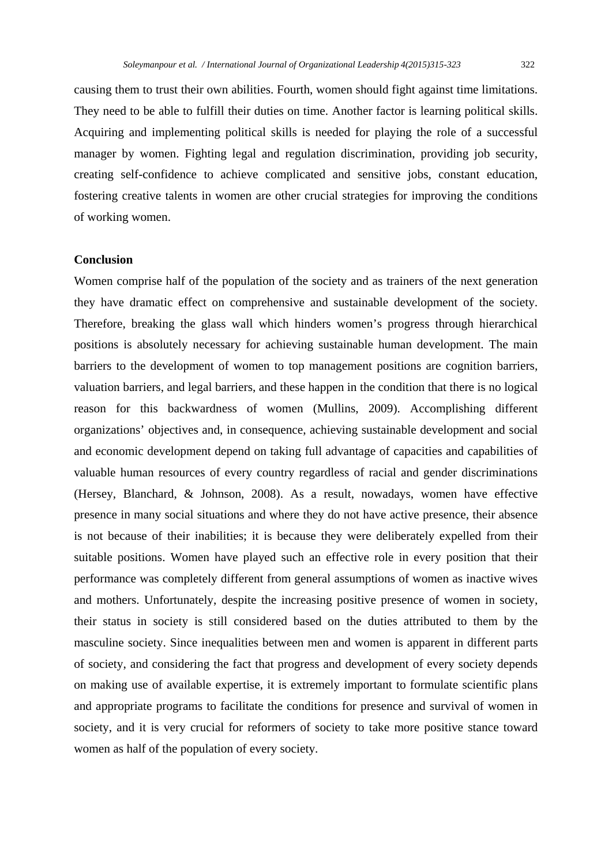causing them to trust their own abilities. Fourth, women should fight against time limitations. They need to be able to fulfill their duties on time. Another factor is learning political skills. Acquiring and implementing political skills is needed for playing the role of a successful manager by women. Fighting legal and regulation discrimination, providing job security, creating self-confidence to achieve complicated and sensitive jobs, constant education, fostering creative talents in women are other crucial strategies for improving the conditions of working women.

### **Conclusion**

Women comprise half of the population of the society and as trainers of the next generation they have dramatic effect on comprehensive and sustainable development of the society. Therefore, breaking the glass wall which hinders women's progress through hierarchical positions is absolutely necessary for achieving sustainable human development. The main barriers to the development of women to top management positions are cognition barriers, valuation barriers, and legal barriers, and these happen in the condition that there is no logical reason for this backwardness of women (Mullins, 2009). Accomplishing different organizations' objectives and, in consequence, achieving sustainable development and social and economic development depend on taking full advantage of capacities and capabilities of valuable human resources of every country regardless of racial and gender discriminations (Hersey, Blanchard, & Johnson, 2008). As a result, nowadays, women have effective presence in many social situations and where they do not have active presence, their absence is not because of their inabilities; it is because they were deliberately expelled from their suitable positions. Women have played such an effective role in every position that their performance was completely different from general assumptions of women as inactive wives and mothers. Unfortunately, despite the increasing positive presence of women in society, their status in society is still considered based on the duties attributed to them by the masculine society. Since inequalities between men and women is apparent in different parts of society, and considering the fact that progress and development of every society depends on making use of available expertise, it is extremely important to formulate scientific plans and appropriate programs to facilitate the conditions for presence and survival of women in society, and it is very crucial for reformers of society to take more positive stance toward women as half of the population of every society.